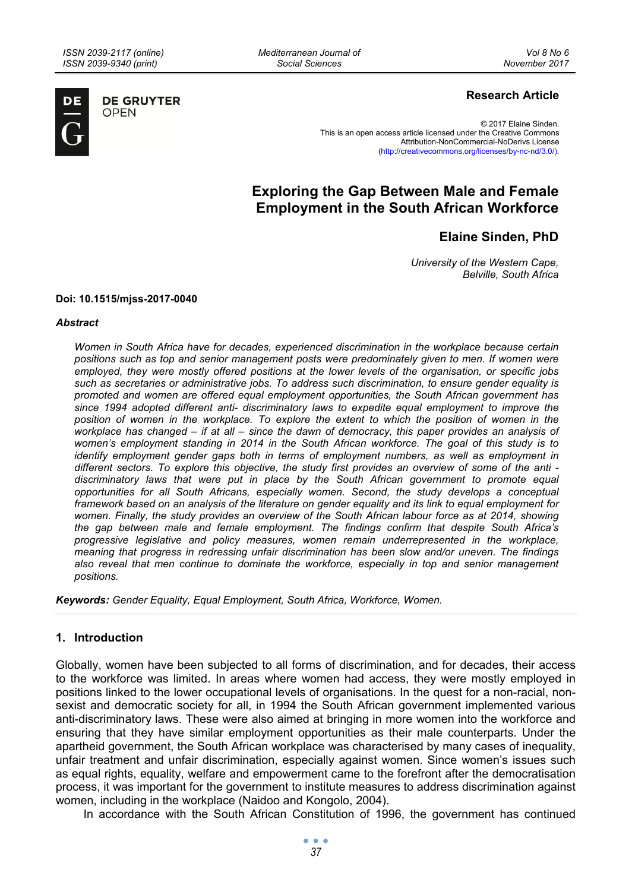*Mediterranean Journal of Social Sciences* 



**DE GRUYTER OPEN** 

# **Research Article**

© 2017 Elaine Sinden. This is an open access article licensed under the Creative Commons Attribution-NonCommercial-NoDerivs License (http://creativecommons.org/licenses/by-nc-nd/3.0/).

# **Exploring the Gap Between Male and Female Employment in the South African Workforce**

**Elaine Sinden, PhD** 

*University of the Western Cape, Belville, South Africa* 

#### **Doi: 10.1515/mjss-2017-0040**

#### *Abstract*

*Women in South Africa have for decades, experienced discrimination in the workplace because certain positions such as top and senior management posts were predominately given to men. If women were employed, they were mostly offered positions at the lower levels of the organisation, or specific jobs such as secretaries or administrative jobs. To address such discrimination, to ensure gender equality is promoted and women are offered equal employment opportunities, the South African government has since 1994 adopted different anti- discriminatory laws to expedite equal employment to improve the position of women in the workplace. To explore the extent to which the position of women in the workplace has changed – if at all – since the dawn of democracy, this paper provides an analysis of women's employment standing in 2014 in the South African workforce. The goal of this study is to identify employment gender gaps both in terms of employment numbers, as well as employment in different sectors. To explore this objective, the study first provides an overview of some of the anti discriminatory laws that were put in place by the South African government to promote equal opportunities for all South Africans, especially women. Second, the study develops a conceptual framework based on an analysis of the literature on gender equality and its link to equal employment for women. Finally, the study provides an overview of the South African labour force as at 2014, showing the gap between male and female employment. The findings confirm that despite South Africa's progressive legislative and policy measures, women remain underrepresented in the workplace, meaning that progress in redressing unfair discrimination has been slow and/or uneven. The findings also reveal that men continue to dominate the workforce, especially in top and senior management positions.* 

*Keywords: Gender Equality, Equal Employment, South Africa, Workforce, Women.* 

## **1. Introduction**

Globally, women have been subjected to all forms of discrimination, and for decades, their access to the workforce was limited. In areas where women had access, they were mostly employed in positions linked to the lower occupational levels of organisations. In the quest for a non-racial, nonsexist and democratic society for all, in 1994 the South African government implemented various anti-discriminatory laws. These were also aimed at bringing in more women into the workforce and ensuring that they have similar employment opportunities as their male counterparts. Under the apartheid government, the South African workplace was characterised by many cases of inequality, unfair treatment and unfair discrimination, especially against women. Since women's issues such as equal rights, equality, welfare and empowerment came to the forefront after the democratisation process, it was important for the government to institute measures to address discrimination against women, including in the workplace (Naidoo and Kongolo, 2004).

In accordance with the South African Constitution of 1996, the government has continued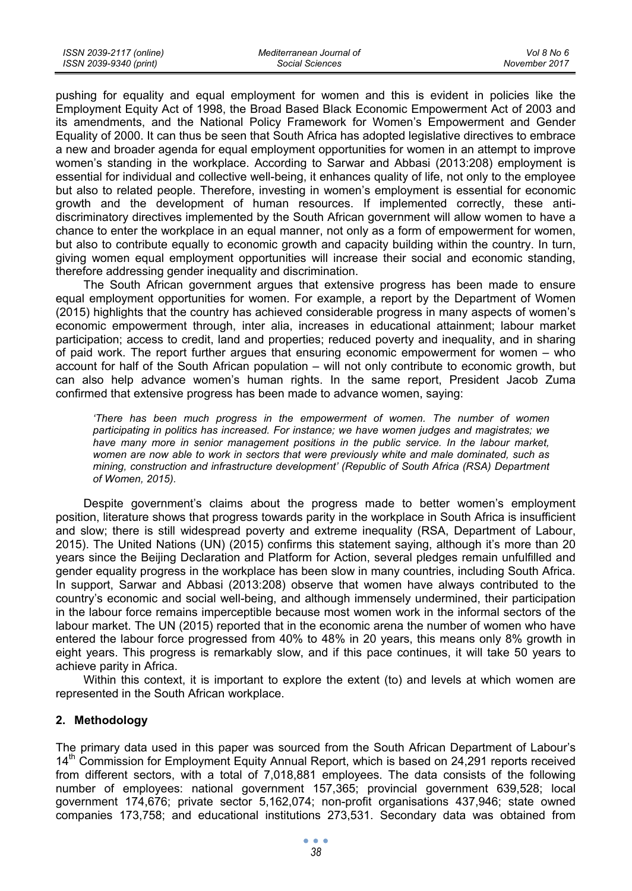pushing for equality and equal employment for women and this is evident in policies like the Employment Equity Act of 1998, the Broad Based Black Economic Empowerment Act of 2003 and its amendments, and the National Policy Framework for Women's Empowerment and Gender Equality of 2000. It can thus be seen that South Africa has adopted legislative directives to embrace a new and broader agenda for equal employment opportunities for women in an attempt to improve women's standing in the workplace. According to Sarwar and Abbasi (2013:208) employment is essential for individual and collective well-being, it enhances quality of life, not only to the employee but also to related people. Therefore, investing in women's employment is essential for economic growth and the development of human resources. If implemented correctly, these antidiscriminatory directives implemented by the South African government will allow women to have a chance to enter the workplace in an equal manner, not only as a form of empowerment for women, but also to contribute equally to economic growth and capacity building within the country. In turn, giving women equal employment opportunities will increase their social and economic standing, therefore addressing gender inequality and discrimination.

The South African government argues that extensive progress has been made to ensure equal employment opportunities for women. For example, a report by the Department of Women (2015) highlights that the country has achieved considerable progress in many aspects of women's economic empowerment through, inter alia, increases in educational attainment; labour market participation; access to credit, land and properties; reduced poverty and inequality, and in sharing of paid work. The report further argues that ensuring economic empowerment for women – who account for half of the South African population – will not only contribute to economic growth, but can also help advance women's human rights. In the same report, President Jacob Zuma confirmed that extensive progress has been made to advance women, saying:

*'There has been much progress in the empowerment of women. The number of women participating in politics has increased. For instance; we have women judges and magistrates; we*  have many more in senior management positions in the public service. In the labour market, *women are now able to work in sectors that were previously white and male dominated, such as mining, construction and infrastructure development' (Republic of South Africa (RSA) Department of Women, 2015).* 

Despite government's claims about the progress made to better women's employment position, literature shows that progress towards parity in the workplace in South Africa is insufficient and slow; there is still widespread poverty and extreme inequality (RSA, Department of Labour, 2015). The United Nations (UN) (2015) confirms this statement saying, although it's more than 20 years since the Beijing Declaration and Platform for Action, several pledges remain unfulfilled and gender equality progress in the workplace has been slow in many countries, including South Africa. In support, Sarwar and Abbasi (2013:208) observe that women have always contributed to the country's economic and social well-being, and although immensely undermined, their participation in the labour force remains imperceptible because most women work in the informal sectors of the labour market. The UN (2015) reported that in the economic arena the number of women who have entered the labour force progressed from 40% to 48% in 20 years, this means only 8% growth in eight years. This progress is remarkably slow, and if this pace continues, it will take 50 years to achieve parity in Africa.

Within this context, it is important to explore the extent (to) and levels at which women are represented in the South African workplace.

# **2. Methodology**

The primary data used in this paper was sourced from the South African Department of Labour's  $14<sup>th</sup>$  Commission for Employment Equity Annual Report, which is based on 24,291 reports received from different sectors, with a total of 7,018,881 employees. The data consists of the following number of employees: national government 157,365; provincial government 639,528; local government 174,676; private sector 5,162,074; non-profit organisations 437,946; state owned companies 173,758; and educational institutions 273,531. Secondary data was obtained from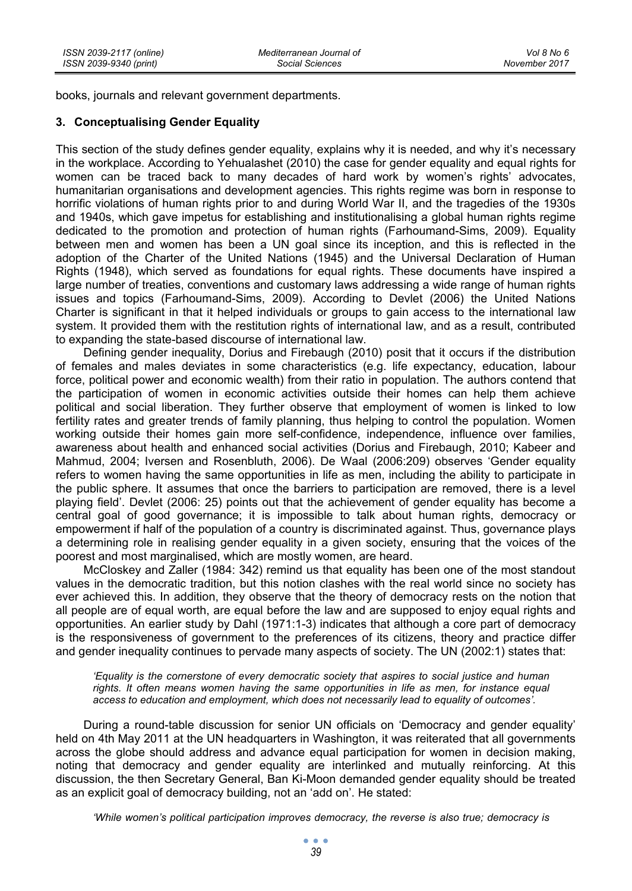books, journals and relevant government departments.

# **3. Conceptualising Gender Equality**

This section of the study defines gender equality, explains why it is needed, and why it's necessary in the workplace. According to Yehualashet (2010) the case for gender equality and equal rights for women can be traced back to many decades of hard work by women's rights' advocates, humanitarian organisations and development agencies. This rights regime was born in response to horrific violations of human rights prior to and during World War II, and the tragedies of the 1930s and 1940s, which gave impetus for establishing and institutionalising a global human rights regime dedicated to the promotion and protection of human rights (Farhoumand-Sims, 2009). Equality between men and women has been a UN goal since its inception, and this is reflected in the adoption of the Charter of the United Nations (1945) and the Universal Declaration of Human Rights (1948), which served as foundations for equal rights. These documents have inspired a large number of treaties, conventions and customary laws addressing a wide range of human rights issues and topics (Farhoumand-Sims, 2009). According to Devlet (2006) the United Nations Charter is significant in that it helped individuals or groups to gain access to the international law system. It provided them with the restitution rights of international law, and as a result, contributed to expanding the state-based discourse of international law.

Defining gender inequality, Dorius and Firebaugh (2010) posit that it occurs if the distribution of females and males deviates in some characteristics (e.g. life expectancy, education, labour force, political power and economic wealth) from their ratio in population. The authors contend that the participation of women in economic activities outside their homes can help them achieve political and social liberation. They further observe that employment of women is linked to low fertility rates and greater trends of family planning, thus helping to control the population. Women working outside their homes gain more self-confidence, independence, influence over families, awareness about health and enhanced social activities (Dorius and Firebaugh, 2010; Kabeer and Mahmud, 2004; Iversen and Rosenbluth, 2006). De Waal (2006:209) observes 'Gender equality refers to women having the same opportunities in life as men, including the ability to participate in the public sphere. It assumes that once the barriers to participation are removed, there is a level playing field'. Devlet (2006: 25) points out that the achievement of gender equality has become a central goal of good governance; it is impossible to talk about human rights, democracy or empowerment if half of the population of a country is discriminated against. Thus, governance plays a determining role in realising gender equality in a given society, ensuring that the voices of the poorest and most marginalised, which are mostly women, are heard.

McCloskey and Zaller (1984: 342) remind us that equality has been one of the most standout values in the democratic tradition, but this notion clashes with the real world since no society has ever achieved this. In addition, they observe that the theory of democracy rests on the notion that all people are of equal worth, are equal before the law and are supposed to enjoy equal rights and opportunities. An earlier study by Dahl (1971:1-3) indicates that although a core part of democracy is the responsiveness of government to the preferences of its citizens, theory and practice differ and gender inequality continues to pervade many aspects of society. The UN (2002:1) states that:

*'Equality is the cornerstone of every democratic society that aspires to social justice and human rights. It often means women having the same opportunities in life as men, for instance equal access to education and employment, which does not necessarily lead to equality of outcomes'.* 

During a round-table discussion for senior UN officials on 'Democracy and gender equality' held on 4th May 2011 at the UN headquarters in Washington, it was reiterated that all governments across the globe should address and advance equal participation for women in decision making, noting that democracy and gender equality are interlinked and mutually reinforcing. At this discussion, the then Secretary General, Ban Ki-Moon demanded gender equality should be treated as an explicit goal of democracy building, not an 'add on'. He stated:

*'While women's political participation improves democracy, the reverse is also true; democracy is*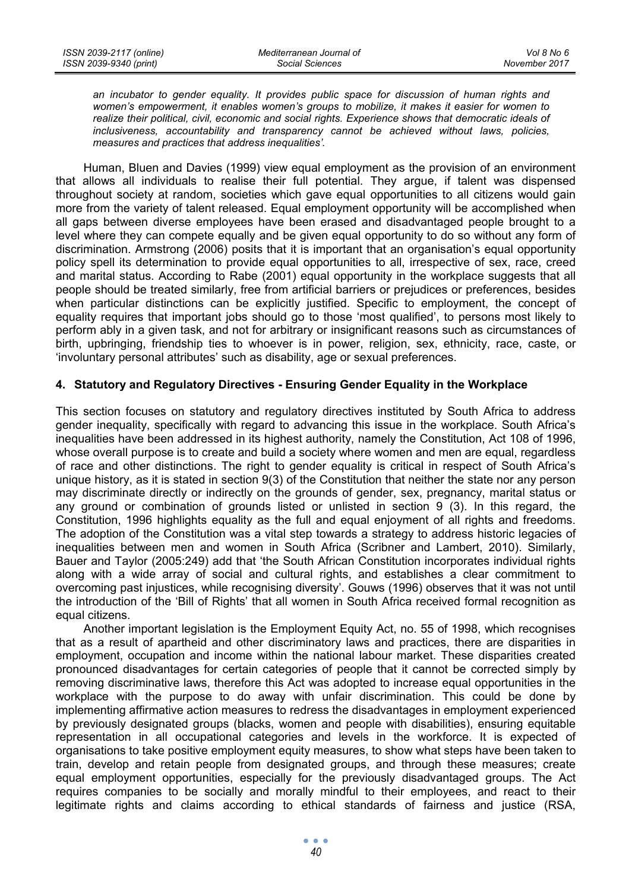*an incubator to gender equality. It provides public space for discussion of human rights and women's empowerment, it enables women's groups to mobilize, it makes it easier for women to realize their political, civil, economic and social rights. Experience shows that democratic ideals of inclusiveness, accountability and transparency cannot be achieved without laws, policies, measures and practices that address inequalities'.* 

Human, Bluen and Davies (1999) view equal employment as the provision of an environment that allows all individuals to realise their full potential. They argue, if talent was dispensed throughout society at random, societies which gave equal opportunities to all citizens would gain more from the variety of talent released. Equal employment opportunity will be accomplished when all gaps between diverse employees have been erased and disadvantaged people brought to a level where they can compete equally and be given equal opportunity to do so without any form of discrimination. Armstrong (2006) posits that it is important that an organisation's equal opportunity policy spell its determination to provide equal opportunities to all, irrespective of sex, race, creed and marital status. According to Rabe (2001) equal opportunity in the workplace suggests that all people should be treated similarly, free from artificial barriers or prejudices or preferences, besides when particular distinctions can be explicitly justified. Specific to employment, the concept of equality requires that important jobs should go to those 'most qualified', to persons most likely to perform ably in a given task, and not for arbitrary or insignificant reasons such as circumstances of birth, upbringing, friendship ties to whoever is in power, religion, sex, ethnicity, race, caste, or 'involuntary personal attributes' such as disability, age or sexual preferences.

# **4. Statutory and Regulatory Directives - Ensuring Gender Equality in the Workplace**

This section focuses on statutory and regulatory directives instituted by South Africa to address gender inequality, specifically with regard to advancing this issue in the workplace. South Africa's inequalities have been addressed in its highest authority, namely the Constitution, Act 108 of 1996, whose overall purpose is to create and build a society where women and men are equal, regardless of race and other distinctions. The right to gender equality is critical in respect of South Africa's unique history, as it is stated in section 9(3) of the Constitution that neither the state nor any person may discriminate directly or indirectly on the grounds of gender, sex, pregnancy, marital status or any ground or combination of grounds listed or unlisted in section 9 (3). In this regard, the Constitution, 1996 highlights equality as the full and equal enjoyment of all rights and freedoms. The adoption of the Constitution was a vital step towards a strategy to address historic legacies of inequalities between men and women in South Africa (Scribner and Lambert, 2010). Similarly, Bauer and Taylor (2005:249) add that 'the South African Constitution incorporates individual rights along with a wide array of social and cultural rights, and establishes a clear commitment to overcoming past injustices, while recognising diversity'. Gouws (1996) observes that it was not until the introduction of the 'Bill of Rights' that all women in South Africa received formal recognition as equal citizens.

Another important legislation is the Employment Equity Act, no. 55 of 1998, which recognises that as a result of apartheid and other discriminatory laws and practices, there are disparities in employment, occupation and income within the national labour market. These disparities created pronounced disadvantages for certain categories of people that it cannot be corrected simply by removing discriminative laws, therefore this Act was adopted to increase equal opportunities in the workplace with the purpose to do away with unfair discrimination. This could be done by implementing affirmative action measures to redress the disadvantages in employment experienced by previously designated groups (blacks, women and people with disabilities), ensuring equitable representation in all occupational categories and levels in the workforce. It is expected of organisations to take positive employment equity measures, to show what steps have been taken to train, develop and retain people from designated groups, and through these measures; create equal employment opportunities, especially for the previously disadvantaged groups. The Act requires companies to be socially and morally mindful to their employees, and react to their legitimate rights and claims according to ethical standards of fairness and justice (RSA,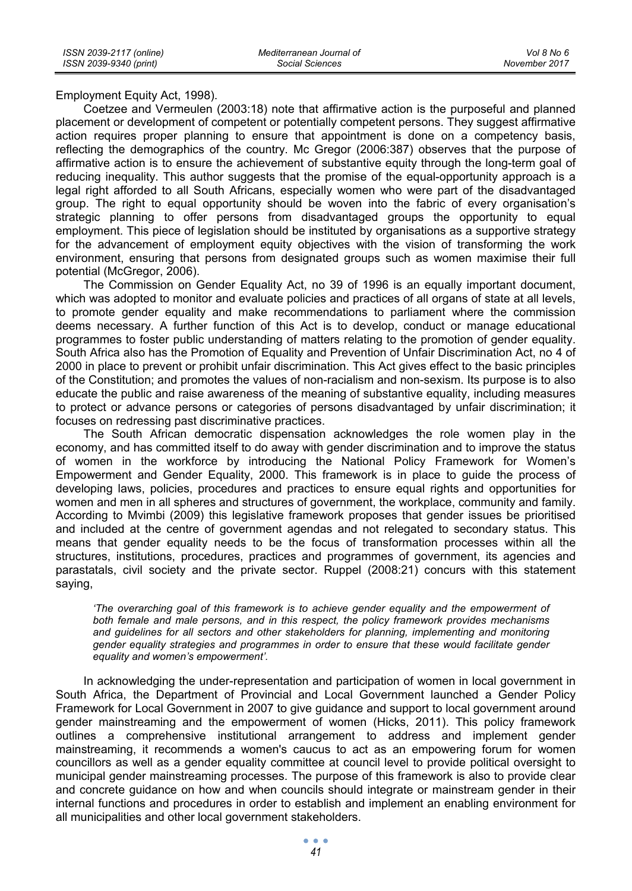Employment Equity Act, 1998).

Coetzee and Vermeulen (2003:18) note that affirmative action is the purposeful and planned placement or development of competent or potentially competent persons. They suggest affirmative action requires proper planning to ensure that appointment is done on a competency basis, reflecting the demographics of the country. Mc Gregor (2006:387) observes that the purpose of affirmative action is to ensure the achievement of substantive equity through the long-term goal of reducing inequality. This author suggests that the promise of the equal-opportunity approach is a legal right afforded to all South Africans, especially women who were part of the disadvantaged group. The right to equal opportunity should be woven into the fabric of every organisation's strategic planning to offer persons from disadvantaged groups the opportunity to equal employment. This piece of legislation should be instituted by organisations as a supportive strategy for the advancement of employment equity objectives with the vision of transforming the work environment, ensuring that persons from designated groups such as women maximise their full potential (McGregor, 2006).

The Commission on Gender Equality Act, no 39 of 1996 is an equally important document, which was adopted to monitor and evaluate policies and practices of all organs of state at all levels, to promote gender equality and make recommendations to parliament where the commission deems necessary. A further function of this Act is to develop, conduct or manage educational programmes to foster public understanding of matters relating to the promotion of gender equality. South Africa also has the Promotion of Equality and Prevention of Unfair Discrimination Act, no 4 of 2000 in place to prevent or prohibit unfair discrimination. This Act gives effect to the basic principles of the Constitution; and promotes the values of non-racialism and non-sexism. Its purpose is to also educate the public and raise awareness of the meaning of substantive equality, including measures to protect or advance persons or categories of persons disadvantaged by unfair discrimination; it focuses on redressing past discriminative practices.

The South African democratic dispensation acknowledges the role women play in the economy, and has committed itself to do away with gender discrimination and to improve the status of women in the workforce by introducing the National Policy Framework for Women's Empowerment and Gender Equality, 2000. This framework is in place to guide the process of developing laws, policies, procedures and practices to ensure equal rights and opportunities for women and men in all spheres and structures of government, the workplace, community and family. According to Mvimbi (2009) this legislative framework proposes that gender issues be prioritised and included at the centre of government agendas and not relegated to secondary status. This means that gender equality needs to be the focus of transformation processes within all the structures, institutions, procedures, practices and programmes of government, its agencies and parastatals, civil society and the private sector. Ruppel (2008:21) concurs with this statement saying,

*'The overarching goal of this framework is to achieve gender equality and the empowerment of both female and male persons, and in this respect, the policy framework provides mechanisms and guidelines for all sectors and other stakeholders for planning, implementing and monitoring gender equality strategies and programmes in order to ensure that these would facilitate gender equality and women's empowerment'.* 

In acknowledging the under-representation and participation of women in local government in South Africa, the Department of Provincial and Local Government launched a Gender Policy Framework for Local Government in 2007 to give guidance and support to local government around gender mainstreaming and the empowerment of women (Hicks, 2011). This policy framework outlines a comprehensive institutional arrangement to address and implement gender mainstreaming, it recommends a women's caucus to act as an empowering forum for women councillors as well as a gender equality committee at council level to provide political oversight to municipal gender mainstreaming processes. The purpose of this framework is also to provide clear and concrete guidance on how and when councils should integrate or mainstream gender in their internal functions and procedures in order to establish and implement an enabling environment for all municipalities and other local government stakeholders.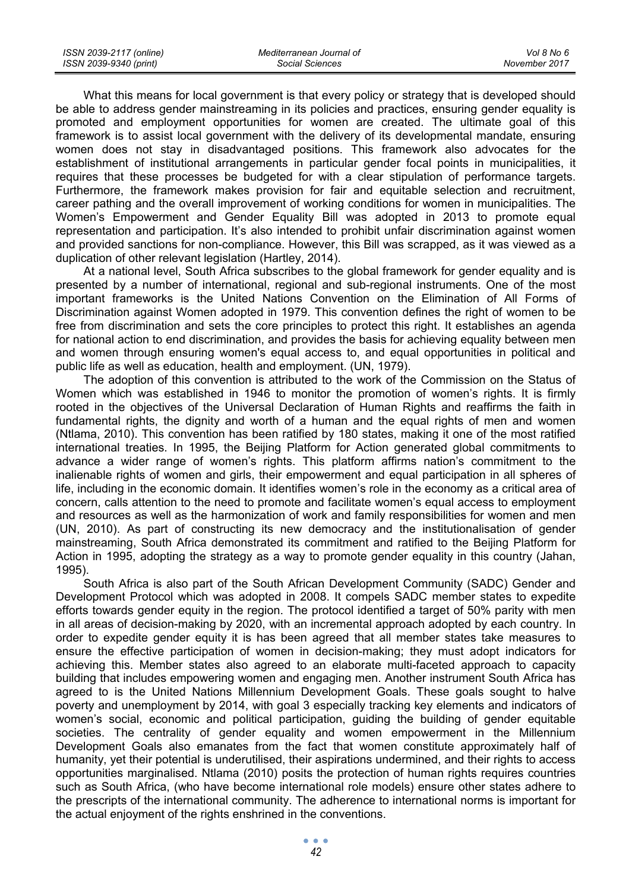What this means for local government is that every policy or strategy that is developed should be able to address gender mainstreaming in its policies and practices, ensuring gender equality is promoted and employment opportunities for women are created. The ultimate goal of this framework is to assist local government with the delivery of its developmental mandate, ensuring women does not stay in disadvantaged positions. This framework also advocates for the establishment of institutional arrangements in particular gender focal points in municipalities, it requires that these processes be budgeted for with a clear stipulation of performance targets. Furthermore, the framework makes provision for fair and equitable selection and recruitment, career pathing and the overall improvement of working conditions for women in municipalities. The Women's Empowerment and Gender Equality Bill was adopted in 2013 to promote equal representation and participation. It's also intended to prohibit unfair discrimination against women and provided sanctions for non-compliance. However, this Bill was scrapped, as it was viewed as a duplication of other relevant legislation (Hartley, 2014).

At a national level, South Africa subscribes to the global framework for gender equality and is presented by a number of international, regional and sub-regional instruments. One of the most important frameworks is the United Nations Convention on the Elimination of All Forms of Discrimination against Women adopted in 1979. This convention defines the right of women to be free from discrimination and sets the core principles to protect this right. It establishes an agenda for national action to end discrimination, and provides the basis for achieving equality between men and women through ensuring women's equal access to, and equal opportunities in political and public life as well as education, health and employment. (UN, 1979).

The adoption of this convention is attributed to the work of the Commission on the Status of Women which was established in 1946 to monitor the promotion of women's rights. It is firmly rooted in the objectives of the Universal Declaration of Human Rights and reaffirms the faith in fundamental rights, the dignity and worth of a human and the equal rights of men and women (Ntlama, 2010). This convention has been ratified by 180 states, making it one of the most ratified international treaties. In 1995, the Beijing Platform for Action generated global commitments to advance a wider range of women's rights. This platform affirms nation's commitment to the inalienable rights of women and girls, their empowerment and equal participation in all spheres of life, including in the economic domain. It identifies women's role in the economy as a critical area of concern, calls attention to the need to promote and facilitate women's equal access to employment and resources as well as the harmonization of work and family responsibilities for women and men (UN, 2010). As part of constructing its new democracy and the institutionalisation of gender mainstreaming, South Africa demonstrated its commitment and ratified to the Beijing Platform for Action in 1995, adopting the strategy as a way to promote gender equality in this country (Jahan, 1995).

South Africa is also part of the South African Development Community (SADC) Gender and Development Protocol which was adopted in 2008. It compels SADC member states to expedite efforts towards gender equity in the region. The protocol identified a target of 50% parity with men in all areas of decision-making by 2020, with an incremental approach adopted by each country. In order to expedite gender equity it is has been agreed that all member states take measures to ensure the effective participation of women in decision-making; they must adopt indicators for achieving this. Member states also agreed to an elaborate multi-faceted approach to capacity building that includes empowering women and engaging men. Another instrument South Africa has agreed to is the United Nations Millennium Development Goals. These goals sought to halve poverty and unemployment by 2014, with goal 3 especially tracking key elements and indicators of women's social, economic and political participation, guiding the building of gender equitable societies. The centrality of gender equality and women empowerment in the Millennium Development Goals also emanates from the fact that women constitute approximately half of humanity, yet their potential is underutilised, their aspirations undermined, and their rights to access opportunities marginalised. Ntlama (2010) posits the protection of human rights requires countries such as South Africa, (who have become international role models) ensure other states adhere to the prescripts of the international community. The adherence to international norms is important for the actual enjoyment of the rights enshrined in the conventions.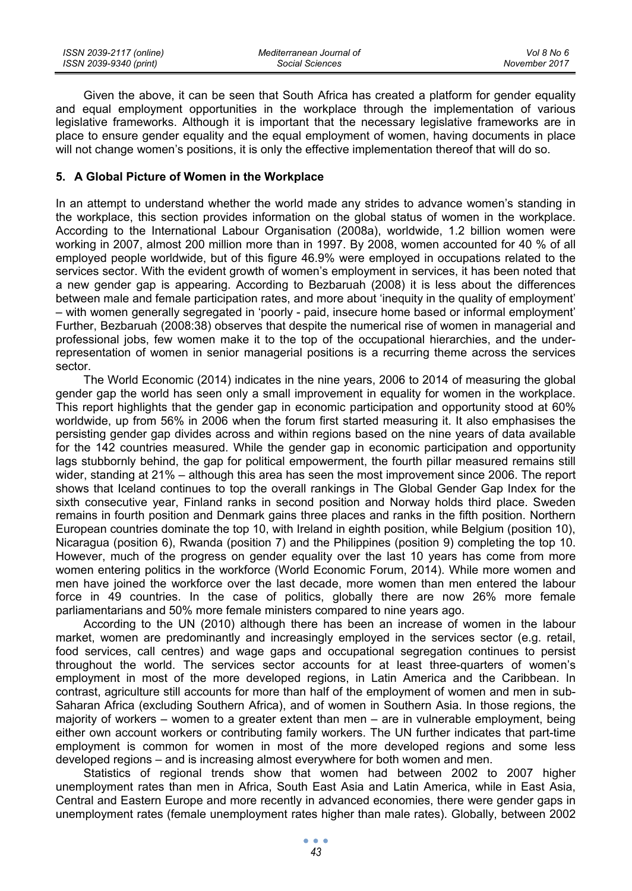| ISSN 2039-2117 (online) | Mediterranean Journal of | Vol 8 No 6    |
|-------------------------|--------------------------|---------------|
| ISSN 2039-9340 (print)  | Social Sciences          | November 2017 |

Given the above, it can be seen that South Africa has created a platform for gender equality and equal employment opportunities in the workplace through the implementation of various legislative frameworks. Although it is important that the necessary legislative frameworks are in place to ensure gender equality and the equal employment of women, having documents in place will not change women's positions, it is only the effective implementation thereof that will do so.

#### **5. A Global Picture of Women in the Workplace**

In an attempt to understand whether the world made any strides to advance women's standing in the workplace, this section provides information on the global status of women in the workplace. According to the International Labour Organisation (2008a), worldwide, 1.2 billion women were working in 2007, almost 200 million more than in 1997. By 2008, women accounted for 40 % of all employed people worldwide, but of this figure 46.9% were employed in occupations related to the services sector. With the evident growth of women's employment in services, it has been noted that a new gender gap is appearing. According to Bezbaruah (2008) it is less about the differences between male and female participation rates, and more about 'inequity in the quality of employment' – with women generally segregated in 'poorly - paid, insecure home based or informal employment' Further, Bezbaruah (2008:38) observes that despite the numerical rise of women in managerial and professional jobs, few women make it to the top of the occupational hierarchies, and the underrepresentation of women in senior managerial positions is a recurring theme across the services sector.

The World Economic (2014) indicates in the nine years, 2006 to 2014 of measuring the global gender gap the world has seen only a small improvement in equality for women in the workplace. This report highlights that the gender gap in economic participation and opportunity stood at 60% worldwide, up from 56% in 2006 when the forum first started measuring it. It also emphasises the persisting gender gap divides across and within regions based on the nine years of data available for the 142 countries measured. While the gender gap in economic participation and opportunity lags stubbornly behind, the gap for political empowerment, the fourth pillar measured remains still wider, standing at 21% – although this area has seen the most improvement since 2006. The report shows that Iceland continues to top the overall rankings in The Global Gender Gap Index for the sixth consecutive year, Finland ranks in second position and Norway holds third place. Sweden remains in fourth position and Denmark gains three places and ranks in the fifth position. Northern European countries dominate the top 10, with Ireland in eighth position, while Belgium (position 10), Nicaragua (position 6), Rwanda (position 7) and the Philippines (position 9) completing the top 10. However, much of the progress on gender equality over the last 10 years has come from more women entering politics in the workforce (World Economic Forum, 2014). While more women and men have joined the workforce over the last decade, more women than men entered the labour force in 49 countries. In the case of politics, globally there are now 26% more female parliamentarians and 50% more female ministers compared to nine years ago.

According to the UN (2010) although there has been an increase of women in the labour market, women are predominantly and increasingly employed in the services sector (e.g. retail, food services, call centres) and wage gaps and occupational segregation continues to persist throughout the world. The services sector accounts for at least three-quarters of women's employment in most of the more developed regions, in Latin America and the Caribbean. In contrast, agriculture still accounts for more than half of the employment of women and men in sub-Saharan Africa (excluding Southern Africa), and of women in Southern Asia. In those regions, the majority of workers – women to a greater extent than men – are in vulnerable employment, being either own account workers or contributing family workers. The UN further indicates that part-time employment is common for women in most of the more developed regions and some less developed regions – and is increasing almost everywhere for both women and men.

Statistics of regional trends show that women had between 2002 to 2007 higher unemployment rates than men in Africa, South East Asia and Latin America, while in East Asia, Central and Eastern Europe and more recently in advanced economies, there were gender gaps in unemployment rates (female unemployment rates higher than male rates). Globally, between 2002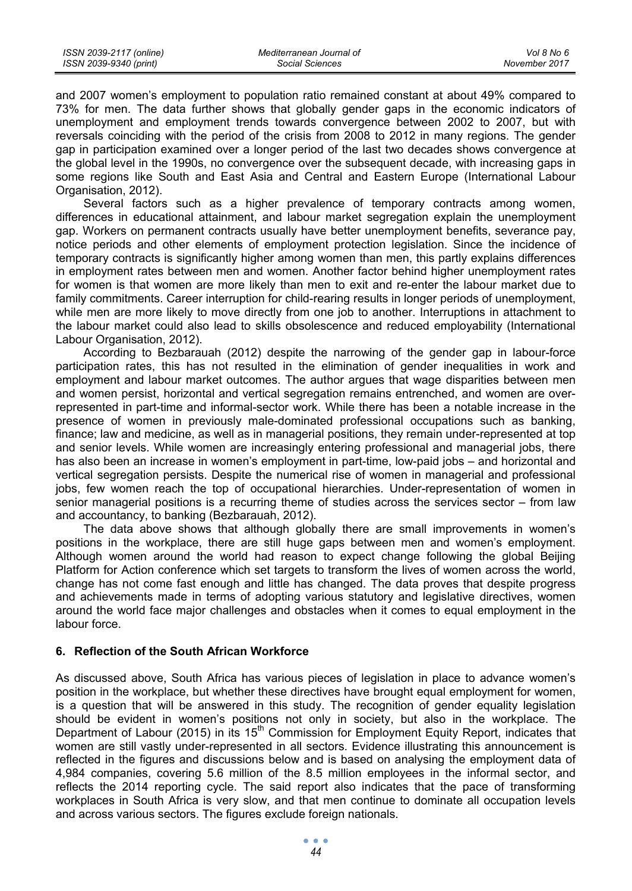and 2007 women's employment to population ratio remained constant at about 49% compared to 73% for men. The data further shows that globally gender gaps in the economic indicators of unemployment and employment trends towards convergence between 2002 to 2007, but with reversals coinciding with the period of the crisis from 2008 to 2012 in many regions. The gender gap in participation examined over a longer period of the last two decades shows convergence at the global level in the 1990s, no convergence over the subsequent decade, with increasing gaps in some regions like South and East Asia and Central and Eastern Europe (International Labour Organisation, 2012).

Several factors such as a higher prevalence of temporary contracts among women, differences in educational attainment, and labour market segregation explain the unemployment gap. Workers on permanent contracts usually have better unemployment benefits, severance pay, notice periods and other elements of employment protection legislation. Since the incidence of temporary contracts is significantly higher among women than men, this partly explains differences in employment rates between men and women. Another factor behind higher unemployment rates for women is that women are more likely than men to exit and re-enter the labour market due to family commitments. Career interruption for child-rearing results in longer periods of unemployment, while men are more likely to move directly from one job to another. Interruptions in attachment to the labour market could also lead to skills obsolescence and reduced employability (International Labour Organisation, 2012).

According to Bezbarauah (2012) despite the narrowing of the gender gap in labour-force participation rates, this has not resulted in the elimination of gender inequalities in work and employment and labour market outcomes. The author argues that wage disparities between men and women persist, horizontal and vertical segregation remains entrenched, and women are overrepresented in part-time and informal-sector work. While there has been a notable increase in the presence of women in previously male-dominated professional occupations such as banking, finance; law and medicine, as well as in managerial positions, they remain under-represented at top and senior levels. While women are increasingly entering professional and managerial jobs, there has also been an increase in women's employment in part-time, low-paid jobs – and horizontal and vertical segregation persists. Despite the numerical rise of women in managerial and professional jobs, few women reach the top of occupational hierarchies. Under-representation of women in senior managerial positions is a recurring theme of studies across the services sector – from law and accountancy, to banking (Bezbarauah, 2012).

The data above shows that although globally there are small improvements in women's positions in the workplace, there are still huge gaps between men and women's employment. Although women around the world had reason to expect change following the global Beijing Platform for Action conference which set targets to transform the lives of women across the world, change has not come fast enough and little has changed. The data proves that despite progress and achievements made in terms of adopting various statutory and legislative directives, women around the world face major challenges and obstacles when it comes to equal employment in the labour force.

#### **6. Reflection of the South African Workforce**

As discussed above, South Africa has various pieces of legislation in place to advance women's position in the workplace, but whether these directives have brought equal employment for women, is a question that will be answered in this study. The recognition of gender equality legislation should be evident in women's positions not only in society, but also in the workplace. The Department of Labour (2015) in its  $15<sup>th</sup>$  Commission for Employment Equity Report, indicates that women are still vastly under-represented in all sectors. Evidence illustrating this announcement is reflected in the figures and discussions below and is based on analysing the employment data of 4,984 companies, covering 5.6 million of the 8.5 million employees in the informal sector, and reflects the 2014 reporting cycle. The said report also indicates that the pace of transforming workplaces in South Africa is very slow, and that men continue to dominate all occupation levels and across various sectors. The figures exclude foreign nationals.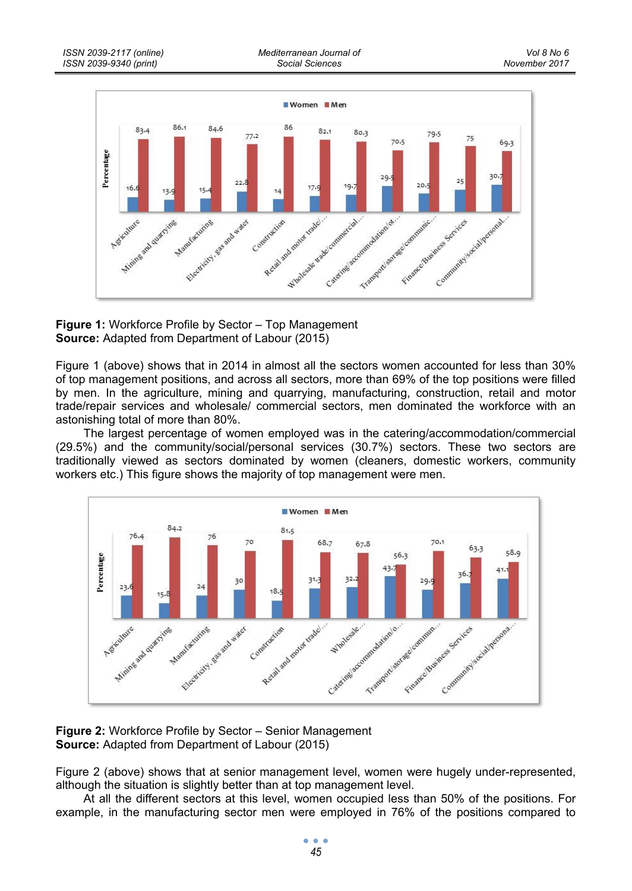



Figure 1 (above) shows that in 2014 in almost all the sectors women accounted for less than 30% of top management positions, and across all sectors, more than 69% of the top positions were filled by men. In the agriculture, mining and quarrying, manufacturing, construction, retail and motor trade/repair services and wholesale/ commercial sectors, men dominated the workforce with an astonishing total of more than 80%.

The largest percentage of women employed was in the catering/accommodation/commercial (29.5%) and the community/social/personal services (30.7%) sectors. These two sectors are traditionally viewed as sectors dominated by women (cleaners, domestic workers, community workers etc.) This figure shows the majority of top management were men.



**Figure 2:** Workforce Profile by Sector – Senior Management **Source:** Adapted from Department of Labour (2015)

Figure 2 (above) shows that at senior management level, women were hugely under-represented, although the situation is slightly better than at top management level.

At all the different sectors at this level, women occupied less than 50% of the positions. For example, in the manufacturing sector men were employed in 76% of the positions compared to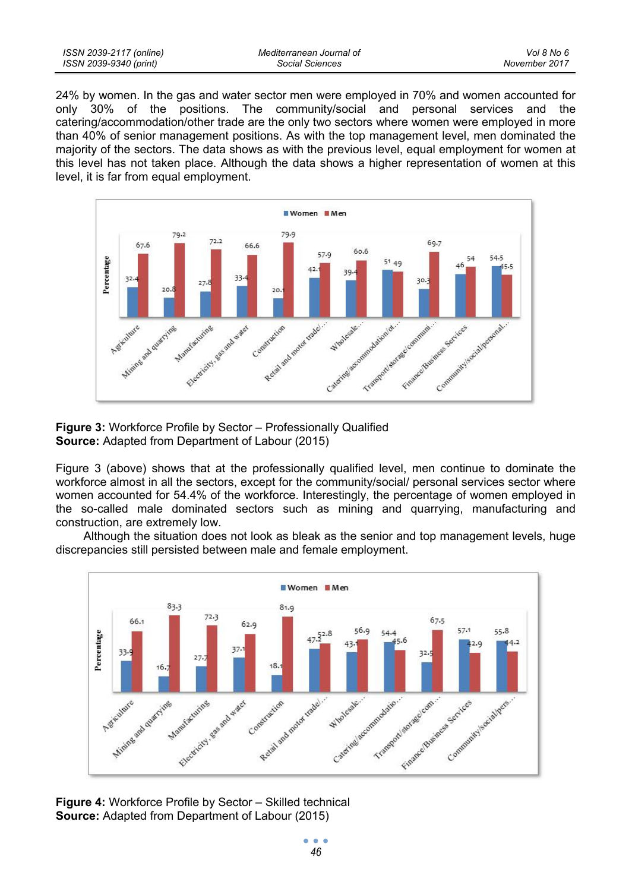| ISSN 2039-2117 (online) | Mediterranean Journal of |  |
|-------------------------|--------------------------|--|
| ISSN 2039-9340 (print)  | Social Sciences          |  |

24% by women. In the gas and water sector men were employed in 70% and women accounted for only 30% of the positions. The community/social and personal services and the catering/accommodation/other trade are the only two sectors where women were employed in more than 40% of senior management positions. As with the top management level, men dominated the majority of the sectors. The data shows as with the previous level, equal employment for women at this level has not taken place. Although the data shows a higher representation of women at this level, it is far from equal employment.



**Figure 3:** Workforce Profile by Sector – Professionally Qualified **Source:** Adapted from Department of Labour (2015)

Figure 3 (above) shows that at the professionally qualified level, men continue to dominate the workforce almost in all the sectors, except for the community/social/ personal services sector where women accounted for 54.4% of the workforce. Interestingly, the percentage of women employed in the so-called male dominated sectors such as mining and quarrying, manufacturing and construction, are extremely low.

Although the situation does not look as bleak as the senior and top management levels, huge discrepancies still persisted between male and female employment.



**Figure 4:** Workforce Profile by Sector – Skilled technical **Source:** Adapted from Department of Labour (2015)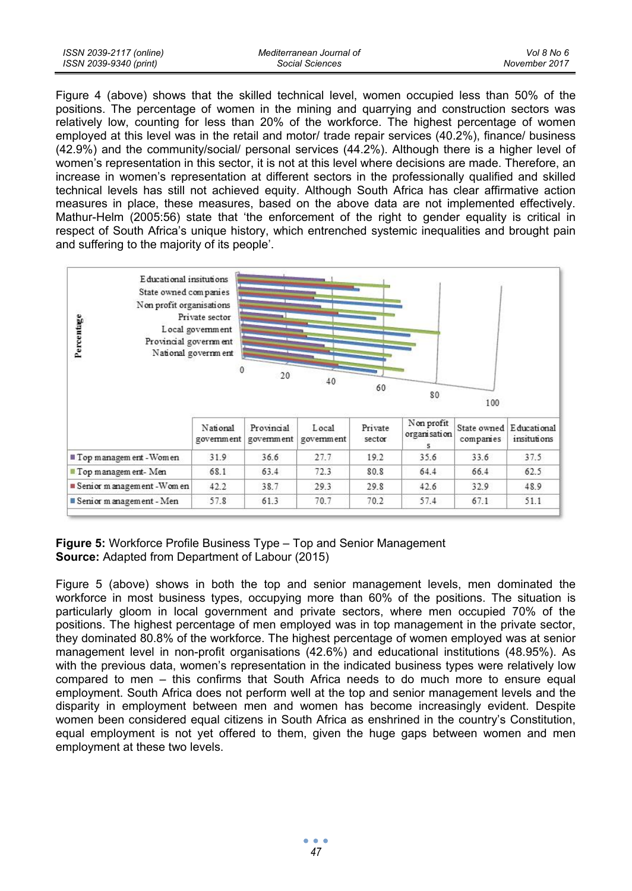| ISSN 2039-2117 (online) | Mediterranean Journal of | Vol 8 No 6    |
|-------------------------|--------------------------|---------------|
| ISSN 2039-9340 (print)  | Social Sciences          | November 2017 |

Figure 4 (above) shows that the skilled technical level, women occupied less than 50% of the positions. The percentage of women in the mining and quarrying and construction sectors was relatively low, counting for less than 20% of the workforce. The highest percentage of women employed at this level was in the retail and motor/ trade repair services (40.2%), finance/ business (42.9%) and the community/social/ personal services (44.2%). Although there is a higher level of women's representation in this sector, it is not at this level where decisions are made. Therefore, an increase in women's representation at different sectors in the professionally qualified and skilled technical levels has still not achieved equity. Although South Africa has clear affirmative action measures in place, these measures, based on the above data are not implemented effectively. Mathur-Helm (2005:56) state that 'the enforcement of the right to gender equality is critical in respect of South Africa's unique history, which entrenched systemic inequalities and brought pain and suffering to the majority of its people'.



## **Figure 5:** Workforce Profile Business Type – Top and Senior Management **Source:** Adapted from Department of Labour (2015)

Figure 5 (above) shows in both the top and senior management levels, men dominated the workforce in most business types, occupying more than 60% of the positions. The situation is particularly gloom in local government and private sectors, where men occupied 70% of the positions. The highest percentage of men employed was in top management in the private sector, they dominated 80.8% of the workforce. The highest percentage of women employed was at senior management level in non-profit organisations (42.6%) and educational institutions (48.95%). As with the previous data, women's representation in the indicated business types were relatively low compared to men – this confirms that South Africa needs to do much more to ensure equal employment. South Africa does not perform well at the top and senior management levels and the disparity in employment between men and women has become increasingly evident. Despite women been considered equal citizens in South Africa as enshrined in the country's Constitution, equal employment is not yet offered to them, given the huge gaps between women and men employment at these two levels.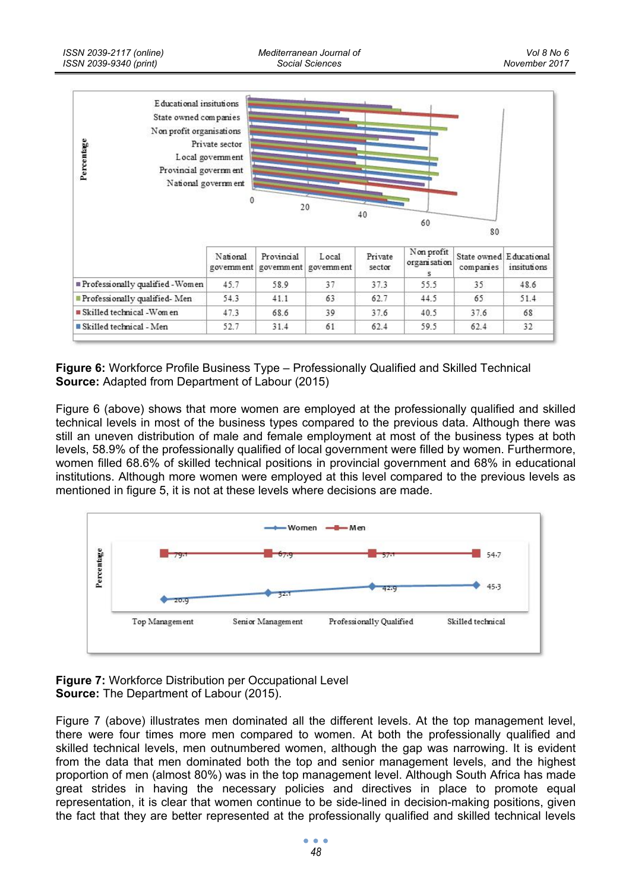

**Figure 6:** Workforce Profile Business Type – Professionally Qualified and Skilled Technical **Source:** Adapted from Department of Labour (2015)

Figure 6 (above) shows that more women are employed at the professionally qualified and skilled technical levels in most of the business types compared to the previous data. Although there was still an uneven distribution of male and female employment at most of the business types at both levels, 58.9% of the professionally qualified of local government were filled by women. Furthermore, women filled 68.6% of skilled technical positions in provincial government and 68% in educational institutions. Although more women were employed at this level compared to the previous levels as mentioned in figure 5, it is not at these levels where decisions are made.



**Figure 7:** Workforce Distribution per Occupational Level **Source:** The Department of Labour (2015).

Figure 7 (above) illustrates men dominated all the different levels. At the top management level, there were four times more men compared to women. At both the professionally qualified and skilled technical levels, men outnumbered women, although the gap was narrowing. It is evident from the data that men dominated both the top and senior management levels, and the highest proportion of men (almost 80%) was in the top management level. Although South Africa has made great strides in having the necessary policies and directives in place to promote equal representation, it is clear that women continue to be side-lined in decision-making positions, given the fact that they are better represented at the professionally qualified and skilled technical levels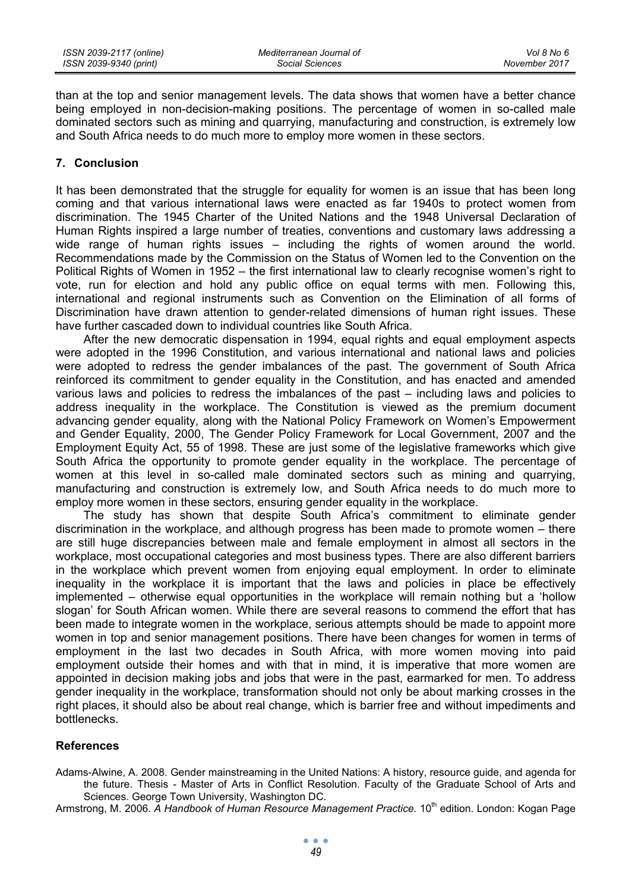than at the top and senior management levels. The data shows that women have a better chance being employed in non-decision-making positions. The percentage of women in so-called male dominated sectors such as mining and quarrying, manufacturing and construction, is extremely low and South Africa needs to do much more to employ more women in these sectors.

### **7. Conclusion**

It has been demonstrated that the struggle for equality for women is an issue that has been long coming and that various international laws were enacted as far 1940s to protect women from discrimination. The 1945 Charter of the United Nations and the 1948 Universal Declaration of Human Rights inspired a large number of treaties, conventions and customary laws addressing a wide range of human rights issues – including the rights of women around the world. Recommendations made by the Commission on the Status of Women led to the Convention on the Political Rights of Women in 1952 – the first international law to clearly recognise women's right to vote, run for election and hold any public office on equal terms with men. Following this, international and regional instruments such as Convention on the Elimination of all forms of Discrimination have drawn attention to gender-related dimensions of human right issues. These have further cascaded down to individual countries like South Africa.

After the new democratic dispensation in 1994, equal rights and equal employment aspects were adopted in the 1996 Constitution, and various international and national laws and policies were adopted to redress the gender imbalances of the past. The government of South Africa reinforced its commitment to gender equality in the Constitution, and has enacted and amended various laws and policies to redress the imbalances of the past – including laws and policies to address inequality in the workplace. The Constitution is viewed as the premium document advancing gender equality, along with the National Policy Framework on Women's Empowerment and Gender Equality, 2000, The Gender Policy Framework for Local Government, 2007 and the Employment Equity Act, 55 of 1998. These are just some of the legislative frameworks which give South Africa the opportunity to promote gender equality in the workplace. The percentage of women at this level in so-called male dominated sectors such as mining and quarrying, manufacturing and construction is extremely low, and South Africa needs to do much more to employ more women in these sectors, ensuring gender equality in the workplace.

The study has shown that despite South Africa's commitment to eliminate gender discrimination in the workplace, and although progress has been made to promote women – there are still huge discrepancies between male and female employment in almost all sectors in the workplace, most occupational categories and most business types. There are also different barriers in the workplace which prevent women from enjoying equal employment. In order to eliminate inequality in the workplace it is important that the laws and policies in place be effectively implemented – otherwise equal opportunities in the workplace will remain nothing but a 'hollow slogan' for South African women. While there are several reasons to commend the effort that has been made to integrate women in the workplace, serious attempts should be made to appoint more women in top and senior management positions. There have been changes for women in terms of employment in the last two decades in South Africa, with more women moving into paid employment outside their homes and with that in mind, it is imperative that more women are appointed in decision making jobs and jobs that were in the past, earmarked for men. To address gender inequality in the workplace, transformation should not only be about marking crosses in the right places, it should also be about real change, which is barrier free and without impediments and bottlenecks.

# **References**

Adams-Alwine, A. 2008. Gender mainstreaming in the United Nations: A history, resource guide, and agenda for the future. Thesis - Master of Arts in Conflict Resolution. Faculty of the Graduate School of Arts and Sciences. George Town University, Washington DC.

Armstrong, M. 2006. A Handbook of Human Resource Management Practice. 10<sup>th</sup> edition. London: Kogan Page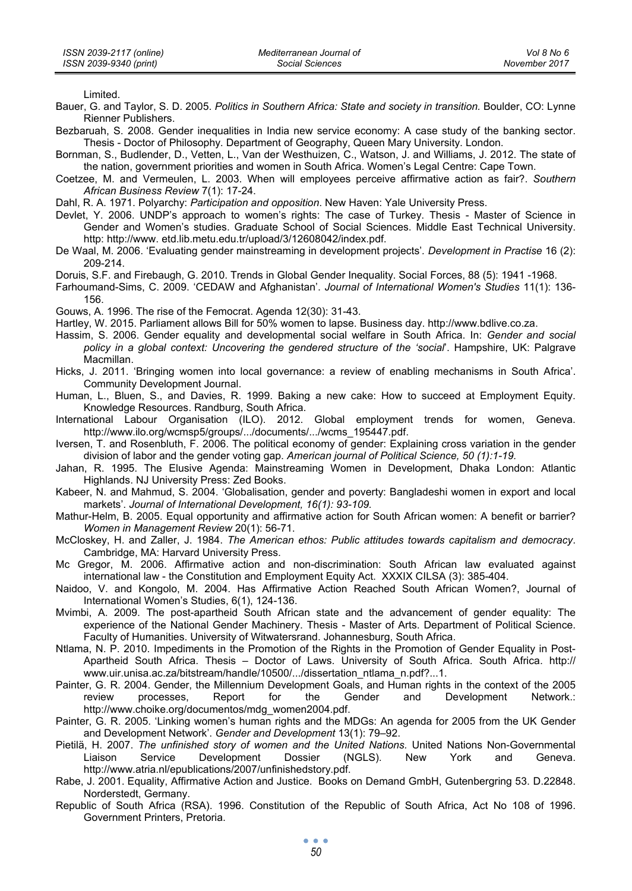Limited.

- Bauer, G. and Taylor, S. D. 2005. *Politics in Southern Africa: State and society in transition.* Boulder, CO: Lynne Rienner Publishers.
- Bezbaruah, S. 2008. Gender inequalities in India new service economy: A case study of the banking sector. Thesis - Doctor of Philosophy. Department of Geography, Queen Mary University. London.
- Bornman, S., Budlender, D., Vetten, L., Van der Westhuizen, C., Watson, J. and Williams, J. 2012. The state of the nation, government priorities and women in South Africa. Women's Legal Centre: Cape Town.
- Coetzee, M. and Vermeulen, L. 2003. When will employees perceive affirmative action as fair?. *Southern African Business Review* 7(1): 17-24.

Dahl, R. A. 1971. Polyarchy: *Participation and opposition*. New Haven: Yale University Press.

- Devlet, Y. 2006. UNDP's approach to women's rights: The case of Turkey. Thesis Master of Science in Gender and Women's studies. Graduate School of Social Sciences. Middle East Technical University. http: http://www. etd.lib.metu.edu.tr/upload/3/12608042/index.pdf.
- De Waal, M. 2006. 'Evaluating gender mainstreaming in development projects'*. Development in Practise* 16 (2): 209-214.

Doruis, S.F. and Firebaugh, G. 2010. Trends in Global Gender Inequality. Social Forces, 88 (5): 1941 -1968.

Farhoumand-Sims, C. 2009. 'CEDAW and Afghanistan'. *Journal of International Women's Studies* 11(1): 136- 156.

Gouws, A. 1996. The rise of the Femocrat. Agenda 12(30): 31-43.

- Hartley, W. 2015. Parliament allows Bill for 50% women to lapse. Business day. http://www.bdlive.co.za.
- Hassim, S. 2006. Gender equality and developmental social welfare in South Africa. In: *Gender and social policy in a global context: Uncovering the gendered structure of the 'social*'. Hampshire, UK: Palgrave Macmillan.
- Hicks, J. 2011. 'Bringing women into local governance: a review of enabling mechanisms in South Africa'. Community Development Journal.
- Human, L., Bluen, S., and Davies, R. 1999. Baking a new cake: How to succeed at Employment Equity. Knowledge Resources. Randburg, South Africa.
- International Labour Organisation (ILO). 2012. Global employment trends for women, Geneva. http://www.ilo.org/wcmsp5/groups/.../documents/.../wcms\_195447.pdf.
- Iversen, T. and Rosenbluth, F. 2006. The political economy of gender: Explaining cross variation in the gender division of labor and the gender voting gap. *American journal of Political Science, 50 (1):1-19.*
- Jahan, R. 1995. The Elusive Agenda: Mainstreaming Women in Development, Dhaka London: Atlantic Highlands. NJ University Press: Zed Books.
- Kabeer, N. and Mahmud, S. 2004. 'Globalisation, gender and poverty: Bangladeshi women in export and local markets'. *Journal of International Development, 16(1): 93-109.*
- Mathur-Helm, B. 2005. Equal opportunity and affirmative action for South African women: A benefit or barrier? *Women in Management Review* 20(1): 56-71.
- McCloskey, H. and Zaller, J. 1984. *The American ethos: Public attitudes towards capitalism and democracy*. Cambridge, MA: Harvard University Press.
- Mc Gregor, M. 2006. Affirmative action and non-discrimination: South African law evaluated against international law - the Constitution and Employment Equity Act. XXXIX CILSA (3): 385-404.
- Naidoo, V. and Kongolo, M. 2004. Has Affirmative Action Reached South African Women?, Journal of International Women's Studies, 6(1), 124-136.
- Mvimbi, A. 2009. The post-apartheid South African state and the advancement of gender equality: The experience of the National Gender Machinery. Thesis - Master of Arts. Department of Political Science. Faculty of Humanities. University of Witwatersrand. Johannesburg, South Africa.
- Ntlama, N. P. 2010. Impediments in the Promotion of the Rights in the Promotion of Gender Equality in Post-Apartheid South Africa. Thesis – Doctor of Laws. University of South Africa. South Africa. http:// www.uir.unisa.ac.za/bitstream/handle/10500/.../dissertation\_ntlama\_n.pdf?...1.
- Painter, G. R. 2004. Gender, the Millennium Development Goals, and Human rights in the context of the 2005 review processes, Report for the Gender and Development Network.: http://www.choike.org/documentos/mdg\_women2004.pdf.
- Painter, G. R. 2005. 'Linking women's human rights and the MDGs: An agenda for 2005 from the UK Gender and Development Network'. *Gender and Development* 13(1): 79–92.
- Pietilä, H. 2007. *The unfinished story of women and the United Nations.* United Nations Non-Governmental Liaison Service Development Dossier (NGLS). New York and Geneva. http://www.atria.nl/epublications/2007/unfinishedstory.pdf.
- Rabe, J. 2001. Equality, Affirmative Action and Justice. Books on Demand GmbH, Gutenbergring 53. D.22848. Norderstedt, Germany.
- Republic of South Africa (RSA). 1996. Constitution of the Republic of South Africa, Act No 108 of 1996. Government Printers, Pretoria.